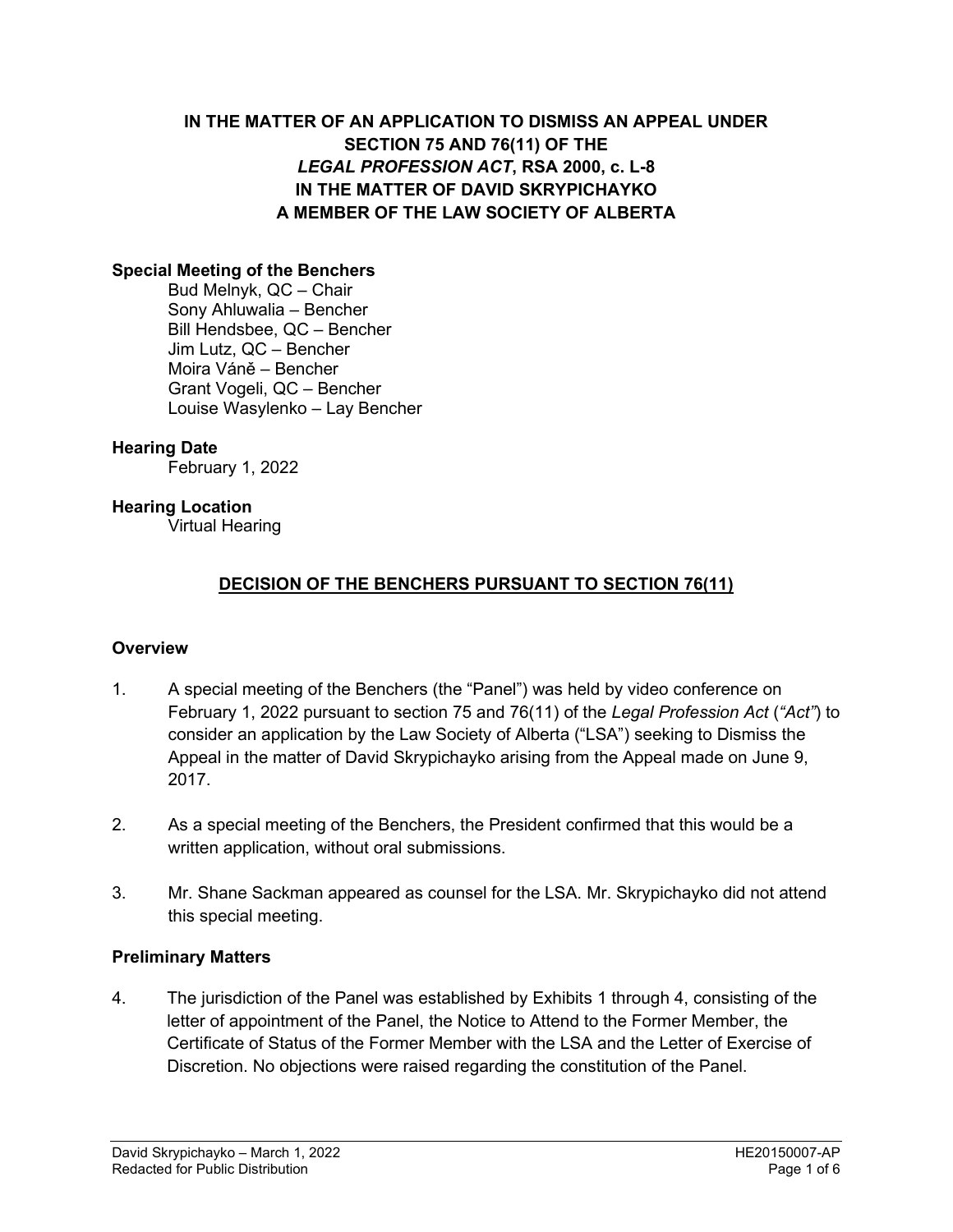# **IN THE MATTER OF AN APPLICATION TO DISMISS AN APPEAL UNDER SECTION 75 AND 76(11) OF THE**  *LEGAL PROFESSION ACT***, RSA 2000, c. L-8 IN THE MATTER OF DAVID SKRYPICHAYKO A MEMBER OF THE LAW SOCIETY OF ALBERTA**

### **Special Meeting of the Benchers**

Bud Melnyk, QC – Chair Sony Ahluwalia – Bencher Bill Hendsbee, QC – Bencher Jim Lutz, QC – Bencher Moira Váně – Bencher Grant Vogeli, QC – Bencher Louise Wasylenko – Lay Bencher

#### **Hearing Date**

February 1, 2022

#### **Hearing Location**

Virtual Hearing

### **DECISION OF THE BENCHERS PURSUANT TO SECTION 76(11)**

#### **Overview**

- 1. A special meeting of the Benchers (the "Panel") was held by video conference on February 1, 2022 pursuant to section 75 and 76(11) of the *Legal Profession Act* (*"Act"*) to consider an application by the Law Society of Alberta ("LSA") seeking to Dismiss the Appeal in the matter of David Skrypichayko arising from the Appeal made on June 9, 2017.
- 2. As a special meeting of the Benchers, the President confirmed that this would be a written application, without oral submissions.
- 3. Mr. Shane Sackman appeared as counsel for the LSA. Mr. Skrypichayko did not attend this special meeting.

#### **Preliminary Matters**

4. The jurisdiction of the Panel was established by Exhibits 1 through 4, consisting of the letter of appointment of the Panel, the Notice to Attend to the Former Member, the Certificate of Status of the Former Member with the LSA and the Letter of Exercise of Discretion. No objections were raised regarding the constitution of the Panel.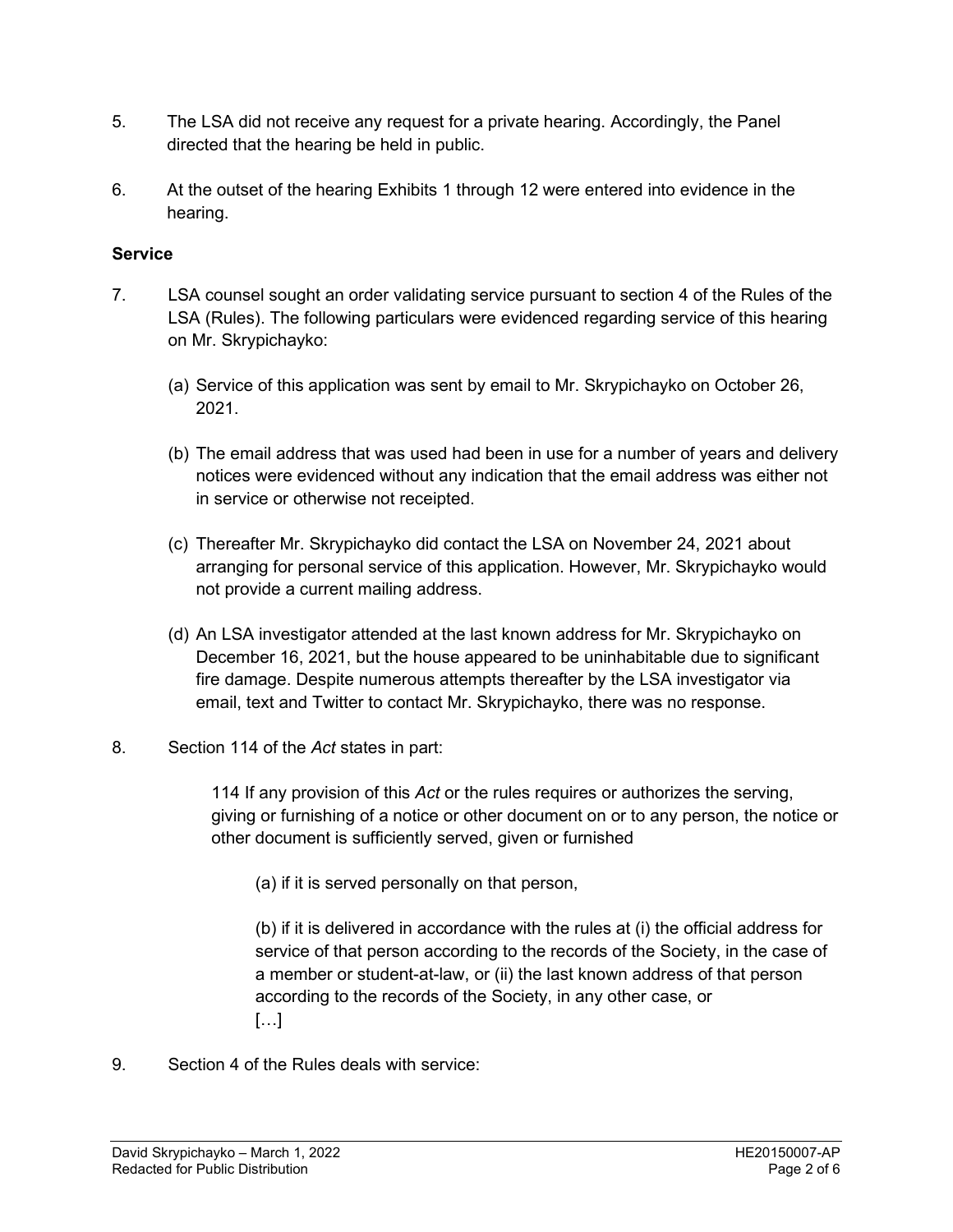- 5. The LSA did not receive any request for a private hearing. Accordingly, the Panel directed that the hearing be held in public.
- 6. At the outset of the hearing Exhibits 1 through 12 were entered into evidence in the hearing.

# **Service**

- 7. LSA counsel sought an order validating service pursuant to section 4 of the Rules of the LSA (Rules). The following particulars were evidenced regarding service of this hearing on Mr. Skrypichayko:
	- (a) Service of this application was sent by email to Mr. Skrypichayko on October 26, 2021.
	- (b) The email address that was used had been in use for a number of years and delivery notices were evidenced without any indication that the email address was either not in service or otherwise not receipted.
	- (c) Thereafter Mr. Skrypichayko did contact the LSA on November 24, 2021 about arranging for personal service of this application. However, Mr. Skrypichayko would not provide a current mailing address.
	- (d) An LSA investigator attended at the last known address for Mr. Skrypichayko on December 16, 2021, but the house appeared to be uninhabitable due to significant fire damage. Despite numerous attempts thereafter by the LSA investigator via email, text and Twitter to contact Mr. Skrypichayko, there was no response.
- 8. Section 114 of the *Act* states in part:

114 If any provision of this *Act* or the rules requires or authorizes the serving, giving or furnishing of a notice or other document on or to any person, the notice or other document is sufficiently served, given or furnished

(a) if it is served personally on that person,

(b) if it is delivered in accordance with the rules at (i) the official address for service of that person according to the records of the Society, in the case of a member or student-at-law, or (ii) the last known address of that person according to the records of the Society, in any other case, or […]

9. Section 4 of the Rules deals with service: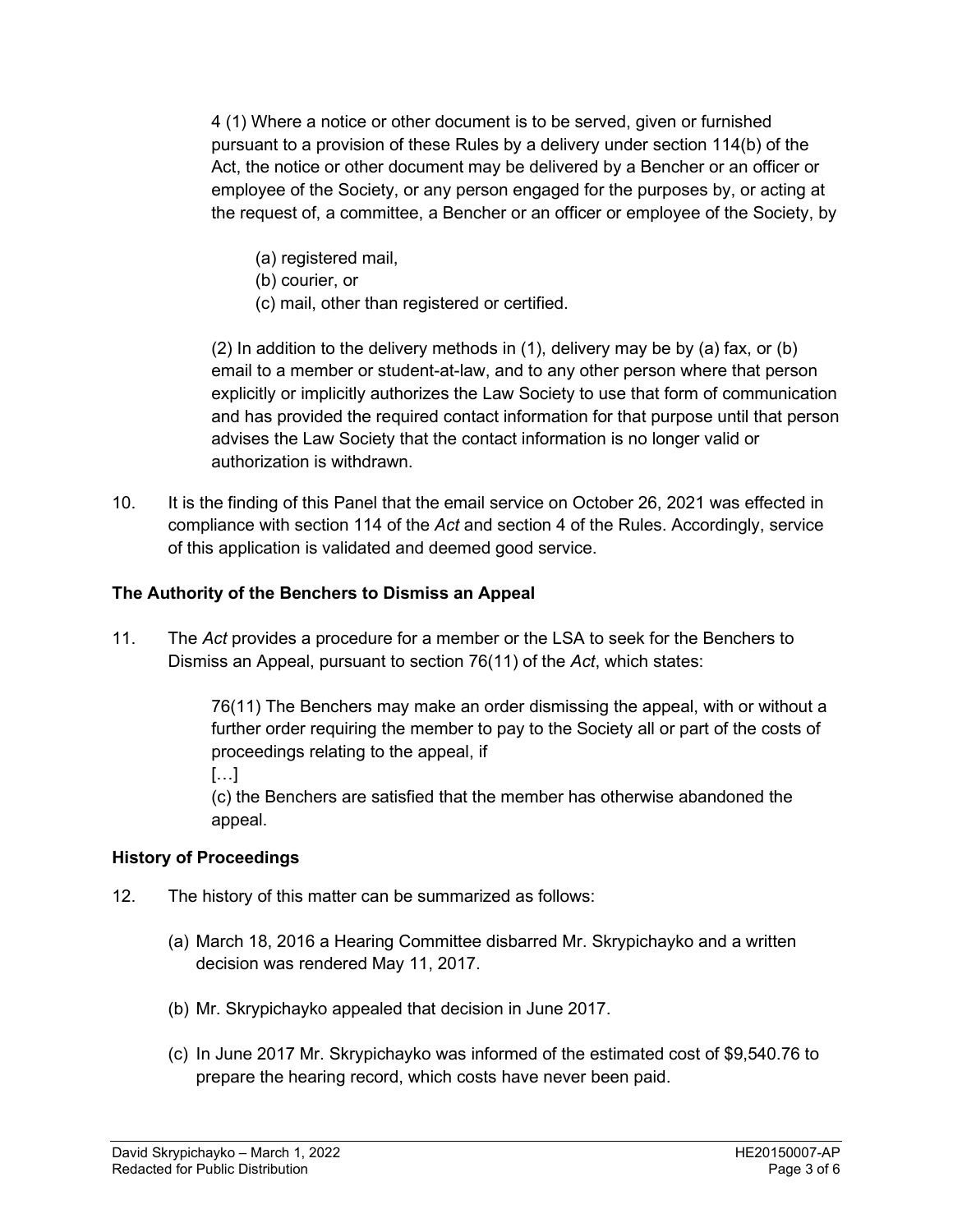4 (1) Where a notice or other document is to be served, given or furnished pursuant to a provision of these Rules by a delivery under section 114(b) of the Act, the notice or other document may be delivered by a Bencher or an officer or employee of the Society, or any person engaged for the purposes by, or acting at the request of, a committee, a Bencher or an officer or employee of the Society, by

- (a) registered mail,
- (b) courier, or
- (c) mail, other than registered or certified.

(2) In addition to the delivery methods in (1), delivery may be by (a) fax, or (b) email to a member or student-at-law, and to any other person where that person explicitly or implicitly authorizes the Law Society to use that form of communication and has provided the required contact information for that purpose until that person advises the Law Society that the contact information is no longer valid or authorization is withdrawn.

10. It is the finding of this Panel that the email service on October 26, 2021 was effected in compliance with section 114 of the *Act* and section 4 of the Rules. Accordingly, service of this application is validated and deemed good service.

# **The Authority of the Benchers to Dismiss an Appeal**

11. The *Act* provides a procedure for a member or the LSA to seek for the Benchers to Dismiss an Appeal, pursuant to section 76(11) of the *Act*, which states:

> 76(11) The Benchers may make an order dismissing the appeal, with or without a further order requiring the member to pay to the Society all or part of the costs of proceedings relating to the appeal, if

[…]

(c) the Benchers are satisfied that the member has otherwise abandoned the appeal.

### **History of Proceedings**

- 12. The history of this matter can be summarized as follows:
	- (a) March 18, 2016 a Hearing Committee disbarred Mr. Skrypichayko and a written decision was rendered May 11, 2017.
	- (b) Mr. Skrypichayko appealed that decision in June 2017.
	- (c) In June 2017 Mr. Skrypichayko was informed of the estimated cost of \$9,540.76 to prepare the hearing record, which costs have never been paid.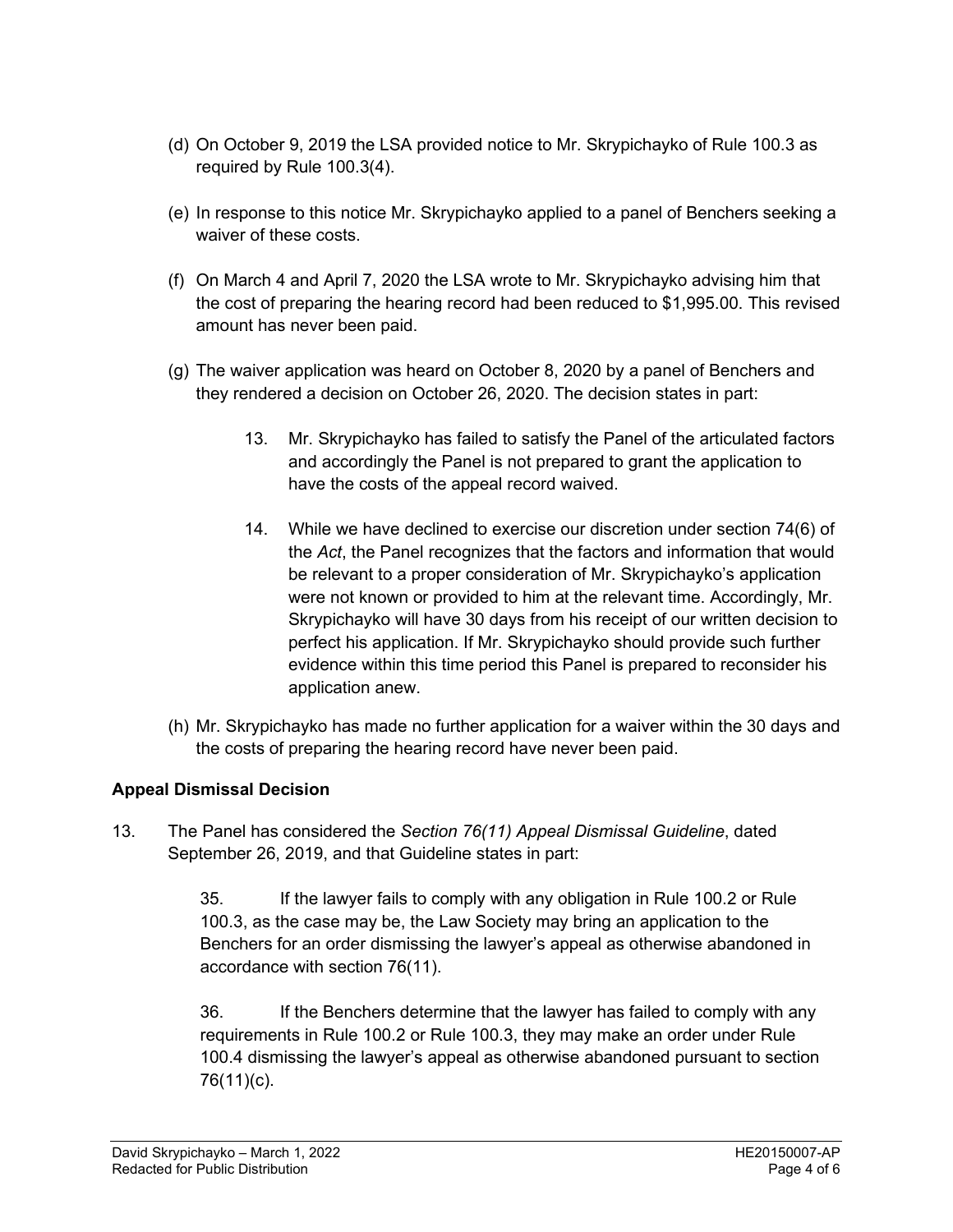- (d) On October 9, 2019 the LSA provided notice to Mr. Skrypichayko of Rule 100.3 as required by Rule 100.3(4).
- (e) In response to this notice Mr. Skrypichayko applied to a panel of Benchers seeking a waiver of these costs.
- (f) On March 4 and April 7, 2020 the LSA wrote to Mr. Skrypichayko advising him that the cost of preparing the hearing record had been reduced to \$1,995.00. This revised amount has never been paid.
- (g) The waiver application was heard on October 8, 2020 by a panel of Benchers and they rendered a decision on October 26, 2020. The decision states in part:
	- 13. Mr. Skrypichayko has failed to satisfy the Panel of the articulated factors and accordingly the Panel is not prepared to grant the application to have the costs of the appeal record waived.
	- 14. While we have declined to exercise our discretion under section 74(6) of the *Act*, the Panel recognizes that the factors and information that would be relevant to a proper consideration of Mr. Skrypichayko's application were not known or provided to him at the relevant time. Accordingly, Mr. Skrypichayko will have 30 days from his receipt of our written decision to perfect his application. If Mr. Skrypichayko should provide such further evidence within this time period this Panel is prepared to reconsider his application anew.
- (h) Mr. Skrypichayko has made no further application for a waiver within the 30 days and the costs of preparing the hearing record have never been paid.

# **Appeal Dismissal Decision**

13. The Panel has considered the *Section 76(11) Appeal Dismissal Guideline*, dated September 26, 2019, and that Guideline states in part:

> 35. If the lawyer fails to comply with any obligation in Rule 100.2 or Rule 100.3, as the case may be, the Law Society may bring an application to the Benchers for an order dismissing the lawyer's appeal as otherwise abandoned in accordance with section 76(11).

36. If the Benchers determine that the lawyer has failed to comply with any requirements in Rule 100.2 or Rule 100.3, they may make an order under Rule 100.4 dismissing the lawyer's appeal as otherwise abandoned pursuant to section 76(11)(c).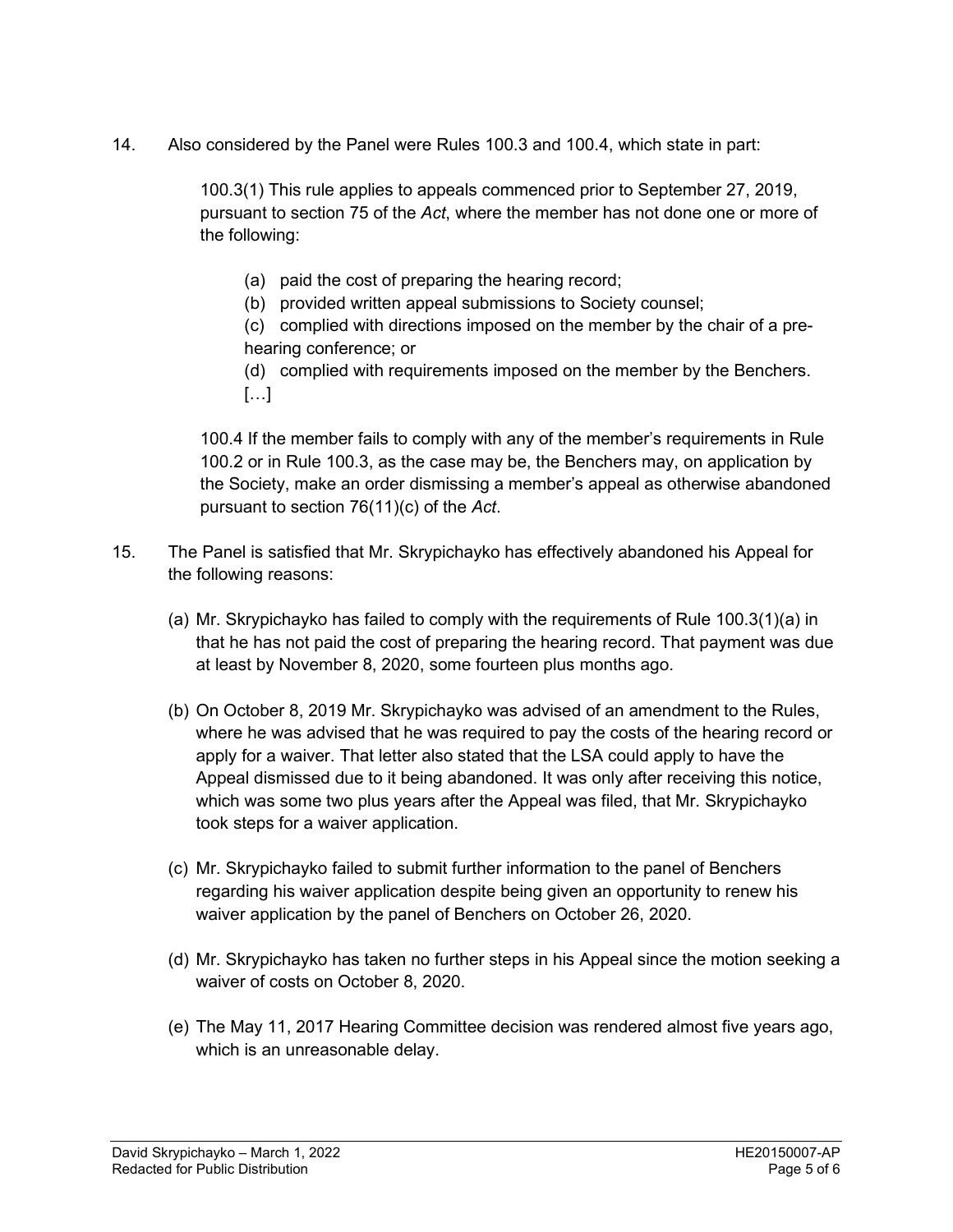14. Also considered by the Panel were Rules 100.3 and 100.4, which state in part:

100.3(1) This rule applies to appeals commenced prior to September 27, 2019, pursuant to section 75 of the *Act*, where the member has not done one or more of the following:

- (a) paid the cost of preparing the hearing record;
- (b) provided written appeal submissions to Society counsel;

(c) complied with directions imposed on the member by the chair of a prehearing conference; or

(d) complied with requirements imposed on the member by the Benchers.  $[\ldots]$ 

100.4 If the member fails to comply with any of the member's requirements in Rule 100.2 or in Rule 100.3, as the case may be, the Benchers may, on application by the Society, make an order dismissing a member's appeal as otherwise abandoned pursuant to section 76(11)(c) of the *Act*.

- 15. The Panel is satisfied that Mr. Skrypichayko has effectively abandoned his Appeal for the following reasons:
	- (a) Mr. Skrypichayko has failed to comply with the requirements of Rule 100.3(1)(a) in that he has not paid the cost of preparing the hearing record. That payment was due at least by November 8, 2020, some fourteen plus months ago.
	- (b) On October 8, 2019 Mr. Skrypichayko was advised of an amendment to the Rules, where he was advised that he was required to pay the costs of the hearing record or apply for a waiver. That letter also stated that the LSA could apply to have the Appeal dismissed due to it being abandoned. It was only after receiving this notice, which was some two plus years after the Appeal was filed, that Mr. Skrypichayko took steps for a waiver application.
	- (c) Mr. Skrypichayko failed to submit further information to the panel of Benchers regarding his waiver application despite being given an opportunity to renew his waiver application by the panel of Benchers on October 26, 2020.
	- (d) Mr. Skrypichayko has taken no further steps in his Appeal since the motion seeking a waiver of costs on October 8, 2020.
	- (e) The May 11, 2017 Hearing Committee decision was rendered almost five years ago, which is an unreasonable delay.